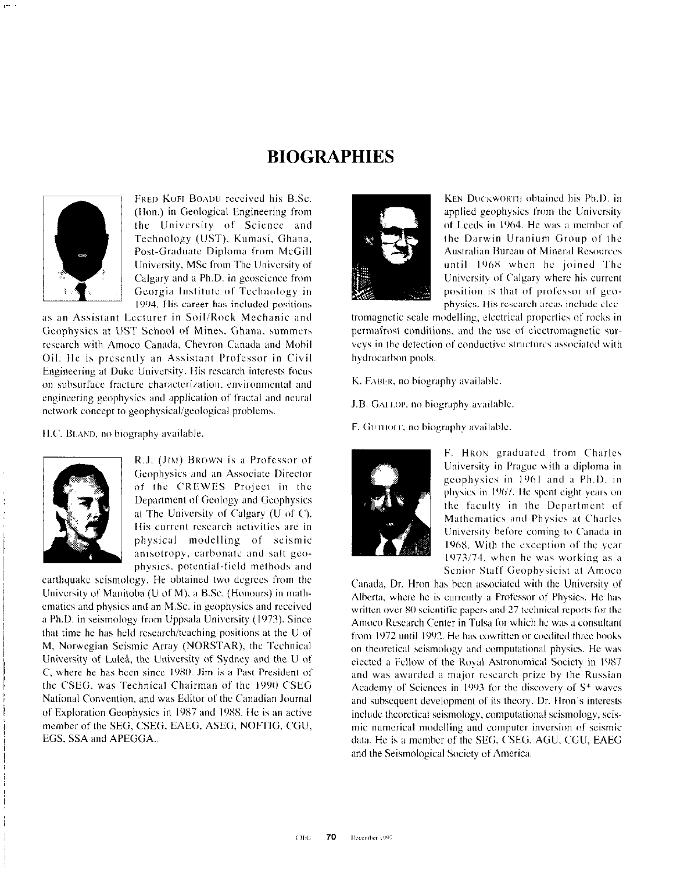## **BIOGRAPHIES**



FRED KOFI BOADU received his B.Sc. (Hon.) in Geological Engineering from the University of Science and Technology (UST), Kumasi, Ghana, Post-Graduate Diploma from McGill University, MSc from The University of Calgary and a Ph.D. in geoscience from Georgia Institute of Technology in 1994. His career has included positions

as an Assistant Lecturer in Soil/Rock Mechanic and Geophysics at UST School of Mines, Ghana, summers research with Amoco Canada, Chevron Canada and Mobil Oil. He is presently an Assistant Professor in Civil Engineering at Duke University. His research interests focus on subsurface fracture characterization, environmental and engineering geophysics and application of fractal and neural network concept to geophysical/geological problems.

H.C. BLAND, no biography available.



R.J. (JIM) BROWN is a Professor of Geophysics and an Associate Director of the CREWES Project in the Department of Geology and Geophysics at The University of Calgary (U of C). His current research activities are in physical modelling of seismic anisotropy, carbonate and salt geophysics, potential-field methods and

earthquake seismology. He obtained two degrees from the University of Manitoba (U of M), a B.Sc. (Honours) in mathematics and physics and an M.Sc. in geophysics and received a Ph.D. in seismology from Uppsala University (1973). Since that time he has held research/teaching positions at the U of M, Norwegian Seismic Array (NORSTAR), the Technical University of Luleå, the University of Sydney and the U of C, where he has been since 1980. Jim is a Past President of the CSEG, was Technical Chairman of the 1990 CSEG National Convention, and was Editor of the Canadian Journal of Exploration Geophysics in 1987 and 1988. He is an active member of the SEG, CSEG. EAEG, ASEG, NOFTIG, CGU, EGS, SSA and APEGGA...



KEN DUCKWORTH obtained his Ph.D. in applied geophysics from the University of Leeds in 1964. He was a member of the Darwin Uranium Group of the **Australian Bureau of Mineral Resources** until 1968 when he joined The University of Calgary where his current position is that of professor of geophysics. His research areas include elec-

tromagnetic scale modelling, electrical properties of rocks in permafrost conditions, and the use of electromagnetic surveys in the detection of conductive structures associated with hydrocarbon pools.

K. FABER, no biography available.

J.B. GALLOP, no biography available.

F. GUIHOFF, no biography available.



F. HRON graduated from Charles University in Prague with a diploma in geophysics in 1961 and a Ph.D. in physics in 1967. He spent eight years on the faculty in the Department of Mathematics and Physics at Charles University before coming to Canada in 1968. With the exception of the year 1973/74, when he was working as a Senior Staff Geophysicist at Amoco

Canada, Dr. Hron has been associated with the University of Alberta, where he is currently a Professor of Physics. He has written over 80 scientific papers and 27 technical reports for the Amoco Research Center in Tulsa for which he was a consultant from 1972 until 1992. He has cowritten or coedited three books on theoretical seismology and computational physics. He was elected a Fellow of the Royal Astronomical Society in 1987 and was awarded a major research prize by the Russian Academy of Sciences in 1993 for the discovery of S\* waves and subsequent development of its theory. Dr. Hron's interests include theoretical seismology, computational seismology, seismic numerical modelling and computer inversion of seismic data. He is a member of the SEG, CSEG, AGU, CGU, EAEG and the Seismological Society of America.